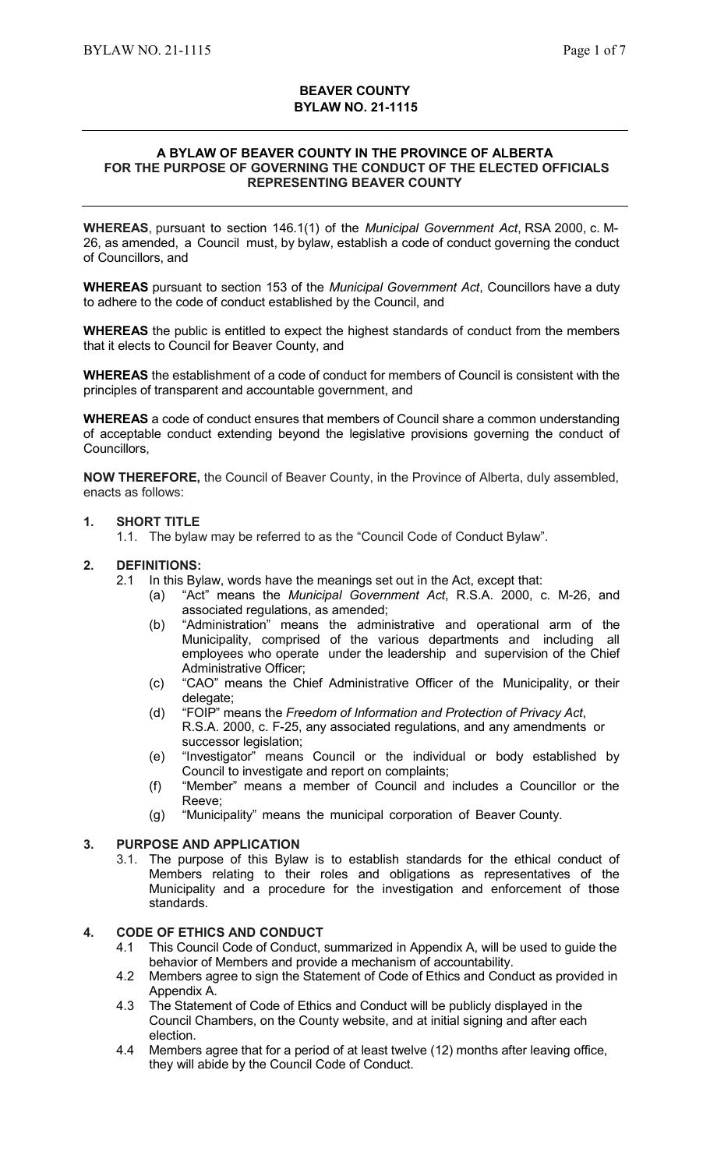# **BEAVER COUNTY BYLAW NO. 21-1115**

#### **A BYLAW OF BEAVER COUNTY IN THE PROVINCE OF ALBERTA FOR THE PURPOSE OF GOVERNING THE CONDUCT OF THE ELECTED OFFICIALS REPRESENTING BEAVER COUNTY**

**WHEREAS**, pursuant to section 146.1(1) of the *Municipal Government Act*, RSA 2000, c. M-26, as amended, a Council must, by bylaw, establish a code of conduct governing the conduct of Councillors, and

**WHEREAS** pursuant to section 153 of the *Municipal Government Act*, Councillors have a duty to adhere to the code of conduct established by the Council, and

**WHEREAS** the public is entitled to expect the highest standards of conduct from the members that it elects to Council for Beaver County, and

**WHEREAS** the establishment of a code of conduct for members of Council is consistent with the principles of transparent and accountable government, and

**WHEREAS** a code of conduct ensures that members of Council share a common understanding of acceptable conduct extending beyond the legislative provisions governing the conduct of Councillors,

**NOW THEREFORE,** the Council of Beaver County, in the Province of Alberta, duly assembled, enacts as follows:

### **1. SHORT TITLE**

1.1. The bylaw may be referred to as the "Council Code of Conduct Bylaw".

### **2. DEFINITIONS:**

- 2.1 In this Bylaw, words have the meanings set out in the Act, except that:
	- (a) "Act" means the *Municipal Government Act*, R.S.A. 2000, c. M-26, and associated regulations, as amended;
	- (b) "Administration" means the administrative and operational arm of the Municipality, comprised of the various departments and including all employees who operate under the leadership and supervision of the Chief Administrative Officer;
	- (c) "CAO" means the Chief Administrative Officer of the Municipality, or their delegate;
	- (d) "FOIP" means the *Freedom of Information and Protection of Privacy Act*, R.S.A. 2000, c. F-25, any associated regulations, and any amendments or successor legislation;
	- (e) "Investigator" means Council or the individual or body established by Council to investigate and report on complaints;
	- (f) "Member" means a member of Council and includes a Councillor or the Reeve;
	- (g) "Municipality" means the municipal corporation of Beaver County.

# **3. PURPOSE AND APPLICATION**

3.1. The purpose of this Bylaw is to establish standards for the ethical conduct of Members relating to their roles and obligations as representatives of the Municipality and a procedure for the investigation and enforcement of those standards.

# **4. CODE OF ETHICS AND CONDUCT**

- 4.1 This Council Code of Conduct, summarized in Appendix A, will be used to guide the behavior of Members and provide a mechanism of accountability.
- 4.2 Members agree to sign the Statement of Code of Ethics and Conduct as provided in Appendix A.
- 4.3 The Statement of Code of Ethics and Conduct will be publicly displayed in the Council Chambers, on the County website, and at initial signing and after each election.
- 4.4 Members agree that for a period of at least twelve (12) months after leaving office, they will abide by the Council Code of Conduct.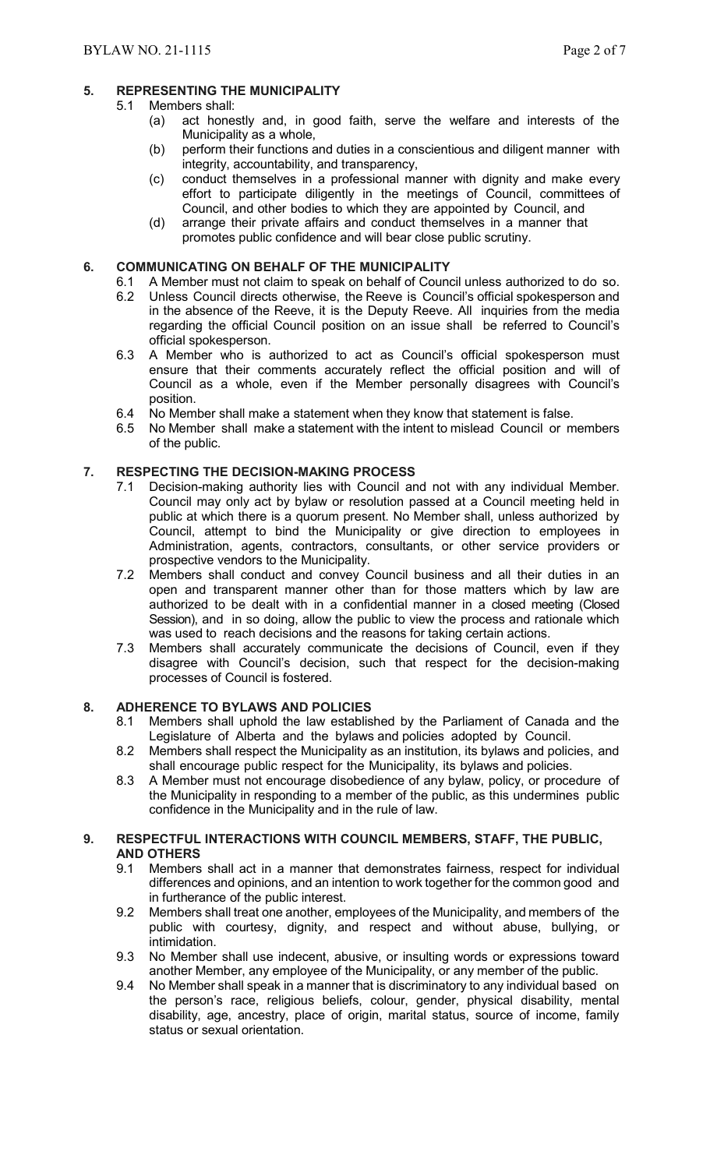# **5. REPRESENTING THE MUNICIPALITY**

#### 5.1 Members shall:

- (a) act honestly and, in good faith, serve the welfare and interests of the Municipality as a whole,
- (b) perform their functions and duties in a conscientious and diligent manner with integrity, accountability, and transparency,
- (c) conduct themselves in a professional manner with dignity and make every effort to participate diligently in the meetings of Council, committees of Council, and other bodies to which they are appointed by Council, and
- (d) arrange their private affairs and conduct themselves in a manner that promotes public confidence and will bear close public scrutiny.

### **6. COMMUNICATING ON BEHALF OF THE MUNICIPALITY**

- 6.1 A Member must not claim to speak on behalf of Council unless authorized to do so.<br>6.2 Unless Council directs otherwise, the Reeve is Council's official spokesperson and
	- Unless Council directs otherwise, the Reeve is Council's official spokesperson and in the absence of the Reeve, it is the Deputy Reeve. All inquiries from the media regarding the official Council position on an issue shall be referred to Council's official spokesperson.
- 6.3 A Member who is authorized to act as Council's official spokesperson must ensure that their comments accurately reflect the official position and will of Council as a whole, even if the Member personally disagrees with Council's position.
- 6.4 No Member shall make a statement when they know that statement is false.
- 6.5 No Member shall make a statement with the intent to mislead Council or members of the public.

### **7. RESPECTING THE DECISION-MAKING PROCESS**

- 7.1 Decision-making authority lies with Council and not with any individual Member. Council may only act by bylaw or resolution passed at a Council meeting held in public at which there is a quorum present. No Member shall, unless authorized by Council, attempt to bind the Municipality or give direction to employees in Administration, agents, contractors, consultants, or other service providers or prospective vendors to the Municipality.
- 7.2 Members shall conduct and convey Council business and all their duties in an open and transparent manner other than for those matters which by law are authorized to be dealt with in a confidential manner in a closed meeting (Closed Session), and in so doing, allow the public to view the process and rationale which was used to reach decisions and the reasons for taking certain actions.
- 7.3 Members shall accurately communicate the decisions of Council, even if they disagree with Council's decision, such that respect for the decision-making processes of Council is fostered.

### **8. ADHERENCE TO BYLAWS AND POLICIES**

- 8.1 Members shall uphold the law established by the Parliament of Canada and the Legislature of Alberta and the bylaws and policies adopted by Council.
- 8.2 Members shall respect the Municipality as an institution, its bylaws and policies, and shall encourage public respect for the Municipality, its bylaws and policies.
- 8.3 A Member must not encourage disobedience of any bylaw, policy, or procedure of the Municipality in responding to a member of the public, as this undermines public confidence in the Municipality and in the rule of law.

#### **9. RESPECTFUL INTERACTIONS WITH COUNCIL MEMBERS, STAFF, THE PUBLIC, AND OTHERS**

- 9.1 Members shall act in a manner that demonstrates fairness, respect for individual differences and opinions, and an intention to work together for the common good and in furtherance of the public interest.
- 9.2 Members shall treat one another, employees of the Municipality, and members of the public with courtesy, dignity, and respect and without abuse, bullying, or intimidation.
- 9.3 No Member shall use indecent, abusive, or insulting words or expressions toward another Member, any employee of the Municipality, or any member of the public.
- 9.4 No Member shall speak in a manner that is discriminatory to any individual based on the person's race, religious beliefs, colour, gender, physical disability, mental disability, age, ancestry, place of origin, marital status, source of income, family status or sexual orientation.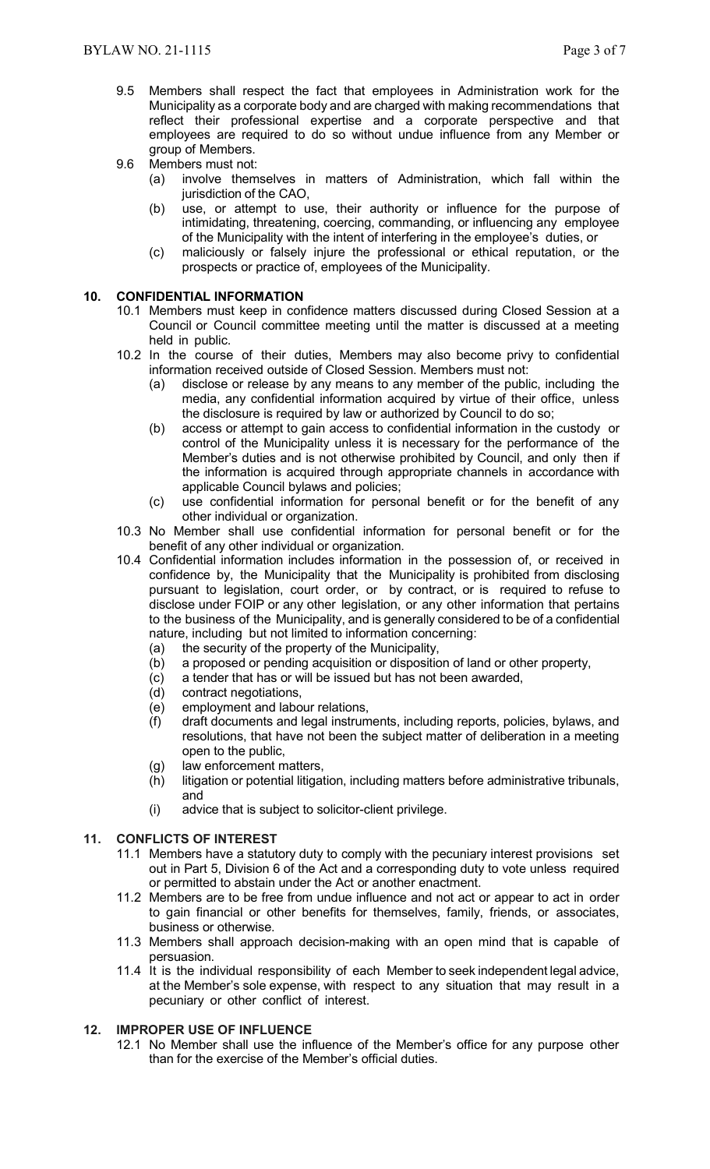- 9.5 Members shall respect the fact that employees in Administration work for the Municipality as a corporate body and are charged with making recommendations that reflect their professional expertise and a corporate perspective and that employees are required to do so without undue influence from any Member or group of Members.
- 9.6 Members must not:
	- (a) involve themselves in matters of Administration, which fall within the jurisdiction of the CAO,
	- (b) use, or attempt to use, their authority or influence for the purpose of intimidating, threatening, coercing, commanding, or influencing any employee of the Municipality with the intent of interfering in the employee's duties, or
	- (c) maliciously or falsely injure the professional or ethical reputation, or the prospects or practice of, employees of the Municipality.

# **10. CONFIDENTIAL INFORMATION**

- 10.1 Members must keep in confidence matters discussed during Closed Session at a Council or Council committee meeting until the matter is discussed at a meeting held in public.
- 10.2 In the course of their duties, Members may also become privy to confidential information received outside of Closed Session. Members must not:
	- (a) disclose or release by any means to any member of the public, including the media, any confidential information acquired by virtue of their office, unless the disclosure is required by law or authorized by Council to do so;
	- (b) access or attempt to gain access to confidential information in the custody or control of the Municipality unless it is necessary for the performance of the Member's duties and is not otherwise prohibited by Council, and only then if the information is acquired through appropriate channels in accordance with applicable Council bylaws and policies;
	- (c) use confidential information for personal benefit or for the benefit of any other individual or organization.
- 10.3 No Member shall use confidential information for personal benefit or for the benefit of any other individual or organization.
- 10.4 Confidential information includes information in the possession of, or received in confidence by, the Municipality that the Municipality is prohibited from disclosing pursuant to legislation, court order, or by contract, or is required to refuse to disclose under FOIP or any other legislation, or any other information that pertains to the business of the Municipality, and is generally considered to be of a confidential nature, including but not limited to information concerning:
	-
	- (a) the security of the property of the Municipality,<br>(b) a proposed or pending acquisition or dispositic a proposed or pending acquisition or disposition of land or other property,
	- (c) a tender that has or will be issued but has not been awarded,
	- (d) contract negotiations,
	- (e) employment and labour relations,
	- (f) draft documents and legal instruments, including reports, policies, bylaws, and resolutions, that have not been the subject matter of deliberation in a meeting open to the public,
	- (g) law enforcement matters,
	- (h) litigation or potential litigation, including matters before administrative tribunals, and
	- (i) advice that is subject to solicitor-client privilege.

# **11. CONFLICTS OF INTEREST**

- 11.1 Members have a statutory duty to comply with the pecuniary interest provisions set out in Part 5, Division 6 of the Act and a corresponding duty to vote unless required or permitted to abstain under the Act or another enactment.
- 11.2 Members are to be free from undue influence and not act or appear to act in order to gain financial or other benefits for themselves, family, friends, or associates, business or otherwise.
- 11.3 Members shall approach decision-making with an open mind that is capable of persuasion.
- 11.4 It is the individual responsibility of each Member to seek independent legal advice, at the Member's sole expense, with respect to any situation that may result in a pecuniary or other conflict of interest.

# **12. IMPROPER USE OF INFLUENCE**

12.1 No Member shall use the influence of the Member's office for any purpose other than for the exercise of the Member's official duties.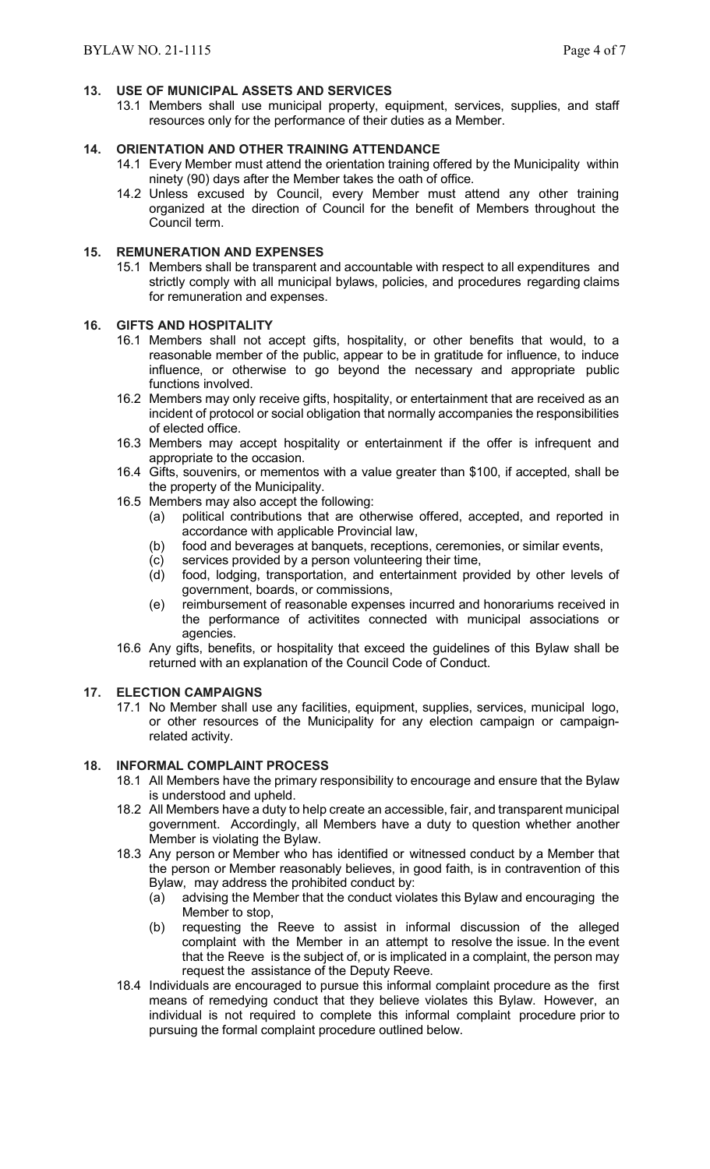### **13. USE OF MUNICIPAL ASSETS AND SERVICES**

13.1 Members shall use municipal property, equipment, services, supplies, and staff resources only for the performance of their duties as a Member.

# **14. ORIENTATION AND OTHER TRAINING ATTENDANCE**

- 14.1 Every Member must attend the orientation training offered by the Municipality within ninety (90) days after the Member takes the oath of office.
- 14.2 Unless excused by Council, every Member must attend any other training organized at the direction of Council for the benefit of Members throughout the Council term.

### **15. REMUNERATION AND EXPENSES**

15.1 Members shall be transparent and accountable with respect to all expenditures and strictly comply with all municipal bylaws, policies, and procedures regarding claims for remuneration and expenses.

### **16. GIFTS AND HOSPITALITY**

- 16.1 Members shall not accept gifts, hospitality, or other benefits that would, to a reasonable member of the public, appear to be in gratitude for influence, to induce influence, or otherwise to go beyond the necessary and appropriate public functions involved.
- 16.2 Members may only receive gifts, hospitality, or entertainment that are received as an incident of protocol or social obligation that normally accompanies the responsibilities of elected office.
- 16.3 Members may accept hospitality or entertainment if the offer is infrequent and appropriate to the occasion.
- 16.4 Gifts, souvenirs, or mementos with a value greater than \$100, if accepted, shall be the property of the Municipality.
- 16.5 Members may also accept the following:
	- (a) political contributions that are otherwise offered, accepted, and reported in accordance with applicable Provincial law,
	- (b) food and beverages at banquets, receptions, ceremonies, or similar events,
	- (c) services provided by a person volunteering their time,
	- (d) food, lodging, transportation, and entertainment provided by other levels of government, boards, or commissions,
	- (e) reimbursement of reasonable expenses incurred and honorariums received in the performance of activitites connected with municipal associations or agencies.
- 16.6 Any gifts, benefits, or hospitality that exceed the guidelines of this Bylaw shall be returned with an explanation of the Council Code of Conduct.

# **17. ELECTION CAMPAIGNS**

17.1 No Member shall use any facilities, equipment, supplies, services, municipal logo, or other resources of the Municipality for any election campaign or campaignrelated activity.

### **18. INFORMAL COMPLAINT PROCESS**

- 18.1 All Members have the primary responsibility to encourage and ensure that the Bylaw is understood and upheld.
- 18.2 All Members have a duty to help create an accessible, fair, and transparent municipal government. Accordingly, all Members have a duty to question whether another Member is violating the Bylaw.
- 18.3 Any person or Member who has identified or witnessed conduct by a Member that the person or Member reasonably believes, in good faith, is in contravention of this Bylaw, may address the prohibited conduct by:
	- (a) advising the Member that the conduct violates this Bylaw and encouraging the Member to stop,
	- (b) requesting the Reeve to assist in informal discussion of the alleged complaint with the Member in an attempt to resolve the issue. In the event that the Reeve is the subject of, or is implicated in a complaint, the person may request the assistance of the Deputy Reeve.
- 18.4 Individuals are encouraged to pursue this informal complaint procedure as the first means of remedying conduct that they believe violates this Bylaw. However, an individual is not required to complete this informal complaint procedure prior to pursuing the formal complaint procedure outlined below.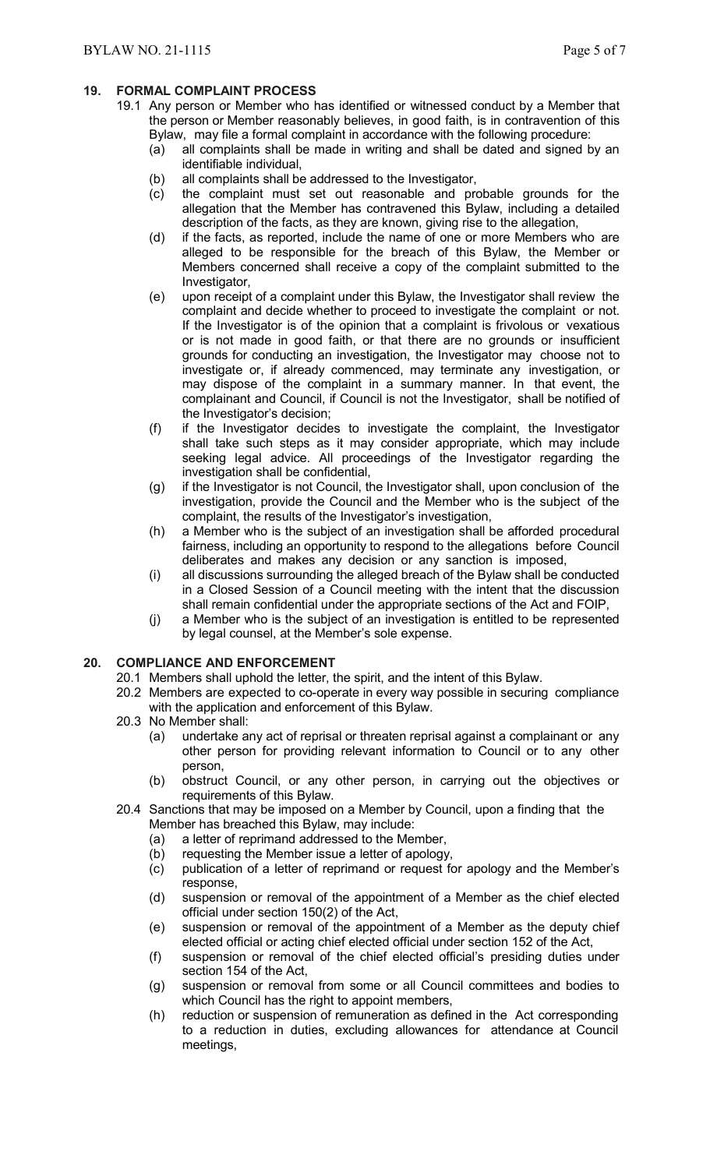# **19. FORMAL COMPLAINT PROCESS**

- 19.1 Any person or Member who has identified or witnessed conduct by a Member that the person or Member reasonably believes, in good faith, is in contravention of this Bylaw, may file a formal complaint in accordance with the following procedure:
	- (a) all complaints shall be made in writing and shall be dated and signed by an identifiable individual,
	- (b) all complaints shall be addressed to the Investigator,
	- (c) the complaint must set out reasonable and probable grounds for the allegation that the Member has contravened this Bylaw, including a detailed description of the facts, as they are known, giving rise to the allegation,
	- (d) if the facts, as reported, include the name of one or more Members who are alleged to be responsible for the breach of this Bylaw, the Member or Members concerned shall receive a copy of the complaint submitted to the Investigator,
	- (e) upon receipt of a complaint under this Bylaw, the Investigator shall review the complaint and decide whether to proceed to investigate the complaint or not. If the Investigator is of the opinion that a complaint is frivolous or vexatious or is not made in good faith, or that there are no grounds or insufficient grounds for conducting an investigation, the Investigator may choose not to investigate or, if already commenced, may terminate any investigation, or may dispose of the complaint in a summary manner. In that event, the complainant and Council, if Council is not the Investigator, shall be notified of the Investigator's decision;
	- (f) if the Investigator decides to investigate the complaint, the Investigator shall take such steps as it may consider appropriate, which may include seeking legal advice. All proceedings of the Investigator regarding the investigation shall be confidential,
	- (g) if the Investigator is not Council, the Investigator shall, upon conclusion of the investigation, provide the Council and the Member who is the subject of the complaint, the results of the Investigator's investigation,
	- (h) a Member who is the subject of an investigation shall be afforded procedural fairness, including an opportunity to respond to the allegations before Council deliberates and makes any decision or any sanction is imposed,
	- (i) all discussions surrounding the alleged breach of the Bylaw shall be conducted in a Closed Session of a Council meeting with the intent that the discussion shall remain confidential under the appropriate sections of the Act and FOIP,
	- (j) a Member who is the subject of an investigation is entitled to be represented by legal counsel, at the Member's sole expense.

# **20. COMPLIANCE AND ENFORCEMENT**

- 20.1 Members shall uphold the letter, the spirit, and the intent of this Bylaw.
- 20.2 Members are expected to co-operate in every way possible in securing compliance with the application and enforcement of this Bylaw.
- 20.3 No Member shall:
	- (a) undertake any act of reprisal or threaten reprisal against a complainant or any other person for providing relevant information to Council or to any other person,
	- (b) obstruct Council, or any other person, in carrying out the objectives or requirements of this Bylaw.
- 20.4 Sanctions that may be imposed on a Member by Council, upon a finding that the Member has breached this Bylaw, may include:
	- (a) a letter of reprimand addressed to the Member,
	- (b) requesting the Member issue a letter of apology,
	- (c) publication of a letter of reprimand or request for apology and the Member's response,
	- (d) suspension or removal of the appointment of a Member as the chief elected official under section 150(2) of the Act,
	- (e) suspension or removal of the appointment of a Member as the deputy chief elected official or acting chief elected official under section 152 of the Act,
	- (f) suspension or removal of the chief elected official's presiding duties under section 154 of the Act,
	- (g) suspension or removal from some or all Council committees and bodies to which Council has the right to appoint members,
	- (h) reduction or suspension of remuneration as defined in the Act corresponding to a reduction in duties, excluding allowances for attendance at Council meetings,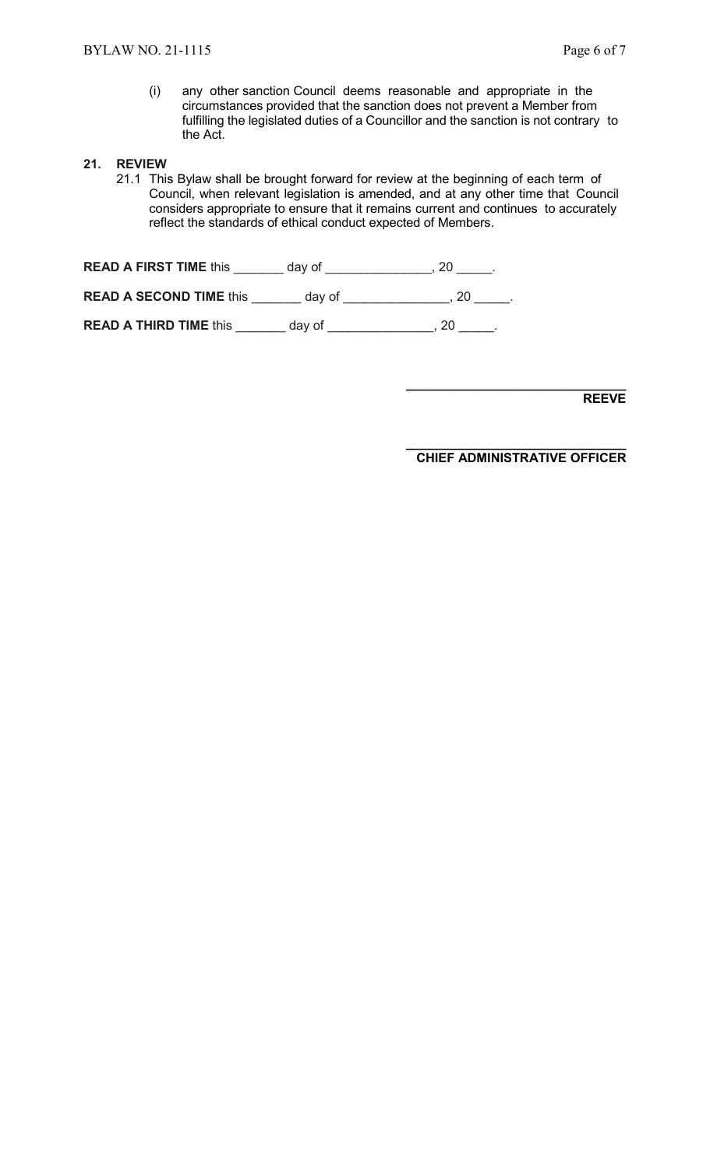(i) any other sanction Council deems reasonable and appropriate in the circumstances provided that the sanction does not prevent a Member from fulfilling the legislated duties of a Councillor and the sanction is not contrary to the Act.

#### **21. REVIEW**

21.1 This Bylaw shall be brought forward for review at the beginning of each term of Council, when relevant legislation is amended, and at any other time that Council considers appropriate to ensure that it remains current and continues to accurately reflect the standards of ethical conduct expected of Members.

**READ A FIRST TIME** this \_\_\_\_\_\_\_ day of \_\_\_\_\_\_\_\_\_\_\_\_\_\_, 20 \_\_\_\_\_. **READ A SECOND TIME** this \_\_\_\_\_\_\_ day of \_\_\_\_\_\_\_\_\_\_\_\_\_\_\_, 20 \_\_\_\_\_.

**READ A THIRD TIME** this \_\_\_\_\_\_\_ day of \_\_\_\_\_\_\_\_\_\_\_\_\_\_\_, 20 \_\_\_\_\_.

**\_\_\_\_\_\_\_\_\_\_\_\_\_\_\_\_\_\_\_\_\_\_\_\_\_\_\_\_\_\_\_ REEVE** 

**\_\_\_\_\_\_\_\_\_\_\_\_\_\_\_\_\_\_\_\_\_\_\_\_\_\_\_\_\_\_\_ CHIEF ADMINISTRATIVE OFFICER**